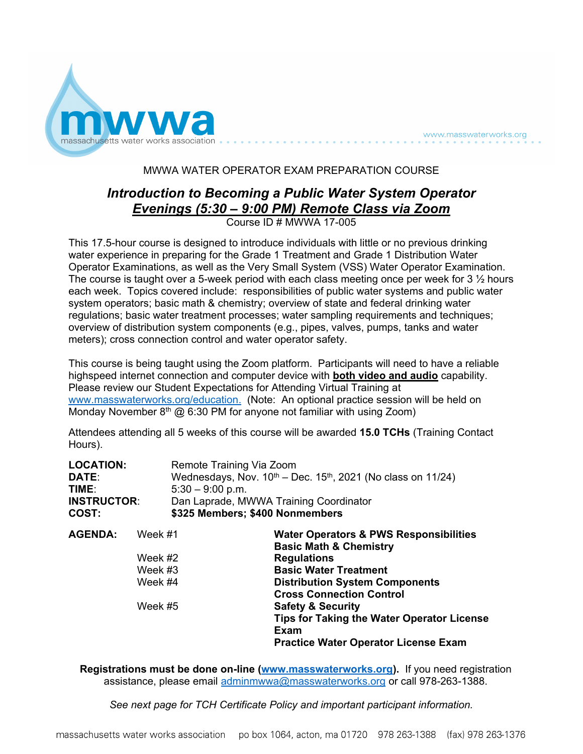

www.masswaterworks.org

## MWWA WATER OPERATOR EXAM PREPARATION COURSE

## *Introduction to Becoming a Public Water System Operator Evenings (5:30 – 9:00 PM) Remote Class via Zoom* Course ID # MWWA 17-005

This 17.5-hour course is designed to introduce individuals with little or no previous drinking water experience in preparing for the Grade 1 Treatment and Grade 1 Distribution Water Operator Examinations, as well as the Very Small System (VSS) Water Operator Examination. The course is taught over a 5-week period with each class meeting once per week for 3  $\frac{1}{2}$  hours each week. Topics covered include: responsibilities of public water systems and public water system operators; basic math & chemistry; overview of state and federal drinking water regulations; basic water treatment processes; water sampling requirements and techniques; overview of distribution system components (e.g., pipes, valves, pumps, tanks and water meters); cross connection control and water operator safety.

This course is being taught using the Zoom platform. Participants will need to have a reliable highspeed internet connection and computer device with **both video and audio** capability. Please review our Student Expectations for Attending Virtual Training at [www.masswaterworks.org/education.](http://www.masswaterworks.org/education) (Note: An optional practice session will be held on Monday November  $8<sup>th</sup>$  @ 6:30 PM for anyone not familiar with using Zoom)

Attendees attending all 5 weeks of this course will be awarded **15.0 TCHs** (Training Contact Hours).

| <b>LOCATION:</b><br>DATE:<br>TIME:<br><b>INSTRUCTOR:</b><br>COST: |                                                     | Remote Training Via Zoom<br>$5:30 - 9:00$ p.m.<br>Dan Laprade, MWWA Training Coordinator<br>\$325 Members; \$400 Nonmembers | Wednesdays, Nov. $10^{th}$ – Dec. $15^{th}$ , 2021 (No class on 11/24)                                                                                                                                                                                                                                 |
|-------------------------------------------------------------------|-----------------------------------------------------|-----------------------------------------------------------------------------------------------------------------------------|--------------------------------------------------------------------------------------------------------------------------------------------------------------------------------------------------------------------------------------------------------------------------------------------------------|
| <b>AGENDA:</b>                                                    | Week #1<br>Week #2<br>Week #3<br>Week #4<br>Week #5 |                                                                                                                             | <b>Water Operators &amp; PWS Responsibilities</b><br><b>Basic Math &amp; Chemistry</b><br><b>Regulations</b><br><b>Basic Water Treatment</b><br><b>Distribution System Components</b><br><b>Cross Connection Control</b><br><b>Safety &amp; Security</b><br>Tips for Taking the Water Operator License |
|                                                                   |                                                     |                                                                                                                             | Exam<br><b>Practice Water Operator License Exam</b>                                                                                                                                                                                                                                                    |

**Registrations must be done on-line [\(www.masswaterworks.org\)](http://www.masswaterworks.org/).** If you need registration assistance, please email [adminmwwa@masswaterworks.org](mailto:adminmwwa@masswaterworks.org) or call 978-263-1388.

*See next page for TCH Certificate Policy and important participant information.*